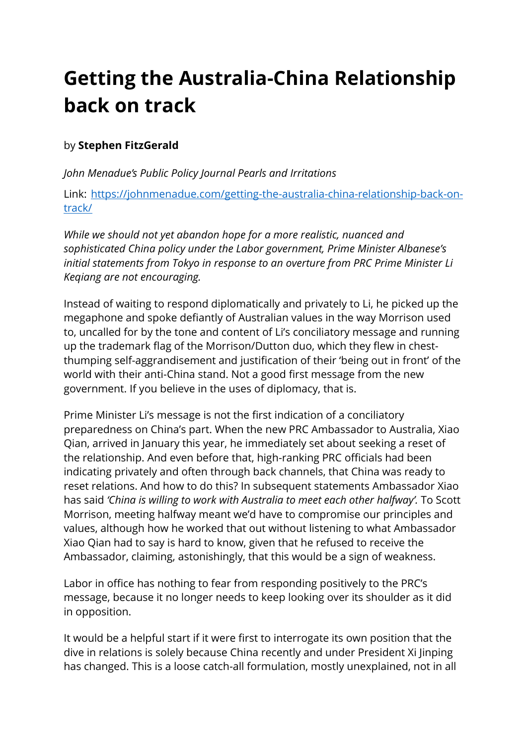## **Getting the Australia-China Relationship back on track**

## by **[Stephen FitzGerald](https://johnmenadue.com/author/stephen-fitzgerald/)**

*John Menadue's Public Policy Journal Pearls and Irritations*

Link: [https://johnmenadue.com/getting-the-australia-china-relationship-back-on](https://johnmenadue.com/getting-the-australia-china-relationship-back-on-track/)[track/](https://johnmenadue.com/getting-the-australia-china-relationship-back-on-track/) 

*While we should not yet abandon hope for a more realistic, nuanced and sophisticated China policy under the Labor government, Prime Minister Albanese's initial statements from Tokyo in response to an overture from PRC Prime Minister Li Keqiang are not encouraging.*

Instead of waiting to respond diplomatically and privately to Li, he picked up the megaphone and spoke defiantly of Australian values in the way Morrison used to, uncalled for by the tone and content of Li's conciliatory message and running up the trademark flag of the Morrison/Dutton duo, which they flew in chestthumping self-aggrandisement and justification of their 'being out in front' of the world with their anti-China stand. Not a good first message from the new government. If you believe in the uses of diplomacy, that is.

Prime Minister Li's message is not the first indication of a conciliatory preparedness on China's part. When the new PRC Ambassador to Australia, Xiao Qian, arrived in January this year, he immediately set about seeking a reset of the relationship. And even before that, high-ranking PRC officials had been indicating privately and often through back channels, that China was ready to reset relations. And how to do this? In subsequent statements Ambassador Xiao has said *'China is willing to work with Australia to meet each other halfway'.* To Scott Morrison, meeting halfway meant we'd have to compromise our principles and values, although how he worked that out without listening to what Ambassador Xiao Qian had to say is hard to know, given that he refused to receive the Ambassador, claiming, astonishingly, that this would be a sign of weakness.

Labor in office has nothing to fear from responding positively to the PRC's message, because it no longer needs to keep looking over its shoulder as it did in opposition.

It would be a helpful start if it were first to interrogate its own position that the dive in relations is solely because China recently and under President Xi Jinping has changed. This is a loose catch-all formulation, mostly unexplained, not in all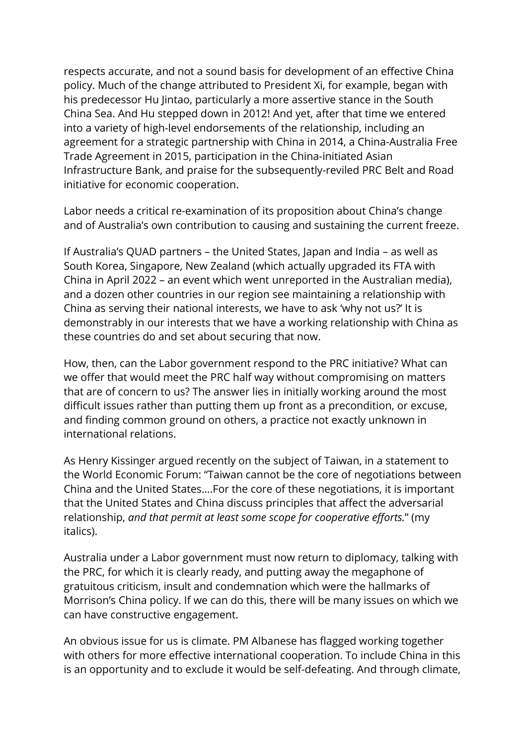respects accurate, and not a sound basis for development of an effective China policy. Much of the change attributed to President Xi, for example, began with his predecessor Hu Jintao, particularly a more assertive stance in the South China Sea. And Hu stepped down in 2012! And yet, after that time we entered into a variety of high-level endorsements of the relationship, including an agreement for a strategic partnership with China in 2014, a China-Australia Free Trade Agreement in 2015, participation in the China-initiated Asian Infrastructure Bank, and praise for the subsequently-reviled PRC Belt and Road initiative for economic cooperation.

Labor needs a critical re-examination of its proposition about China's change and of Australia's own contribution to causing and sustaining the current freeze.

If Australia's QUAD partners – the United States, Japan and India – as well as South Korea, Singapore, New Zealand (which actually upgraded its FTA with China in April 2022 – an event which went unreported in the Australian media), and a dozen other countries in our region see maintaining a relationship with China as serving their national interests, we have to ask 'why not us?' It is demonstrably in our interests that we have a working relationship with China as these countries do and set about securing that now.

How, then, can the Labor government respond to the PRC initiative? What can we offer that would meet the PRC half way without compromising on matters that are of concern to us? The answer lies in initially working around the most difficult issues rather than putting them up front as a precondition, or excuse, and finding common ground on others, a practice not exactly unknown in international relations.

As Henry Kissinger argued recently on the subject of Taiwan, in a statement to the World Economic Forum: "Taiwan cannot be the core of negotiations between China and the United States….For the core of these negotiations, it is important that the United States and China discuss principles that affect the adversarial relationship, *and that permit at least some scope for cooperative efforts.*" (my italics).

Australia under a Labor government must now return to diplomacy, talking with the PRC, for which it is clearly ready, and putting away the megaphone of gratuitous criticism, insult and condemnation which were the hallmarks of Morrison's China policy. If we can do this, there will be many issues on which we can have constructive engagement.

An obvious issue for us is climate. PM Albanese has flagged working together with others for more effective international cooperation. To include China in this is an opportunity and to exclude it would be self-defeating. And through climate,